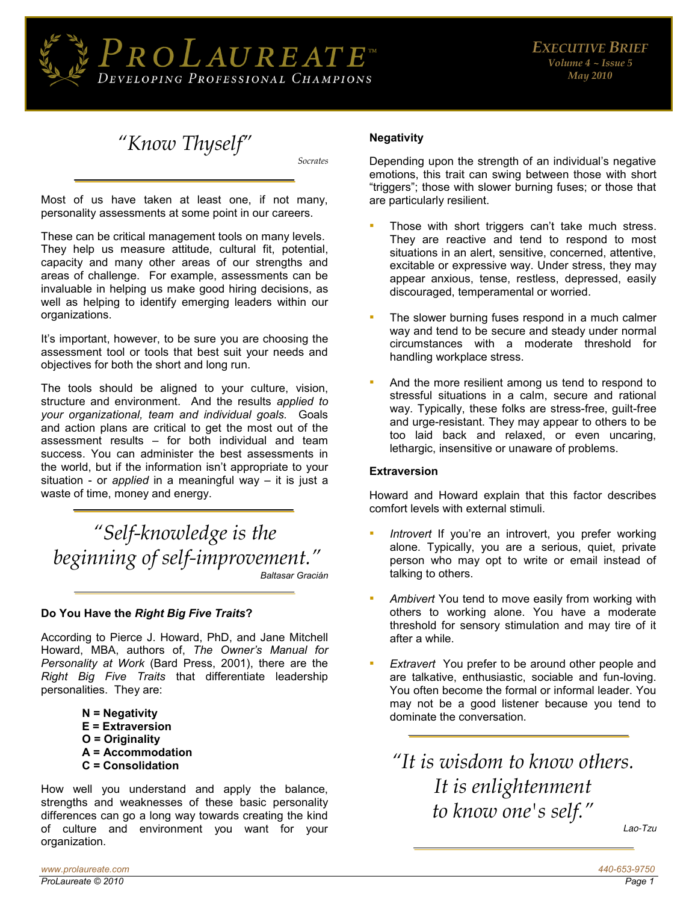

*"Know Thyself"*

*Socrates* 

Most of us have taken at least one, if not many, personality assessments at some point in our careers.

These can be critical management tools on many levels. They help us measure attitude, cultural fit, potential, capacity and many other areas of our strengths and areas of challenge. For example, assessments can be invaluable in helping us make good hiring decisions, as well as helping to identify emerging leaders within our organizations.

It's important, however, to be sure you are choosing the assessment tool or tools that best suit your needs and objectives for both the short and long run.

The tools should be aligned to your culture, vision, structure and environment. And the results *applied to your organizational, team and individual goals.* Goals and action plans are critical to get the most out of the assessment results – for both individual and team success. You can administer the best assessments in the world, but if the information isn't appropriate to your situation - or *applied* in a meaningful way – it is just a waste of time, money and energy.

*"Self-knowledge is the beginning of self-improvement." Baltasar Gracián* 

#### **Do You Have the** *Right Big Five Traits***?**

According to Pierce J. Howard, PhD, and Jane Mitchell Howard, MBA, authors of, *The Owner's Manual for Personality at Work* (Bard Press, 2001), there are the *Right Big Five Traits* that differentiate leadership personalities. They are:

- **N = Negativity**
- **E = Extraversion**
- **O = Originality**
- **A = Accommodation**
- **C = Consolidation**

How well you understand and apply the balance, strengths and weaknesses of these basic personality differences can go a long way towards creating the kind of culture and environment you want for your organization.

#### **Negativity**

Depending upon the strength of an individual's negative emotions, this trait can swing between those with short "triggers"; those with slower burning fuses; or those that are particularly resilient.

- Those with short triggers can't take much stress. They are reactive and tend to respond to most situations in an alert, sensitive, concerned, attentive, excitable or expressive way. Under stress, they may appear anxious, tense, restless, depressed, easily discouraged, temperamental or worried.
- The slower burning fuses respond in a much calmer way and tend to be secure and steady under normal circumstances with a moderate threshold for handling workplace stress.
- And the more resilient among us tend to respond to stressful situations in a calm, secure and rational way. Typically, these folks are stress-free, guilt-free and urge-resistant. They may appear to others to be too laid back and relaxed, or even uncaring, lethargic, insensitive or unaware of problems.

#### **Extraversion**

Howard and Howard explain that this factor describes comfort levels with external stimuli.

- Introvert If you're an introvert, you prefer working alone. Typically, you are a serious, quiet, private person who may opt to write or email instead of talking to others.
- **EXT** Ambivert You tend to move easily from working with others to working alone. You have a moderate threshold for sensory stimulation and may tire of it after a while.
- **Extravert** You prefer to be around other people and are talkative, enthusiastic, sociable and fun-loving. You often become the formal or informal leader. You may not be a good listener because you tend to dominate the conversation.

*"It is wisdom to know others. It is enlightenment to know one's self."*

Lao-Tzu